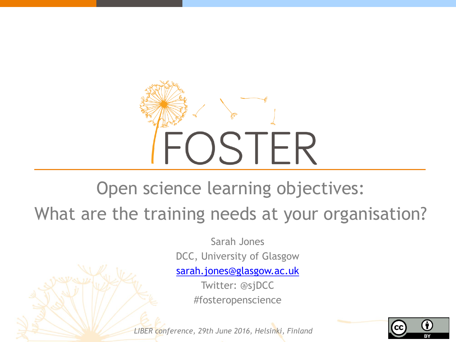

#### Open science learning objectives: What are the training needs at your organisation?

Sarah Jones DCC, University of Glasgow

[sarah.jones@glasgow.ac.uk](mailto:sarah.jones@glasgow.ac.uk)

Twitter: @sjDCC #fosteropenscience

*LIBER conference, 29th June 2016, Helsinki, Finland*

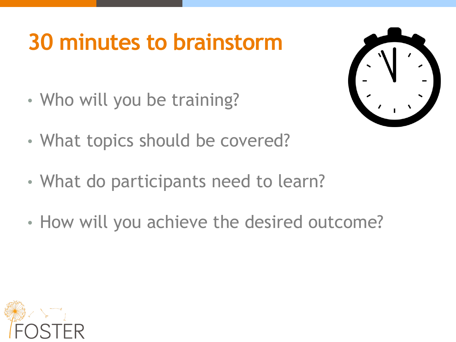# **30 minutes to brainstorm**

• Who will you be training?



- What topics should be covered?
- What do participants need to learn?
- How will you achieve the desired outcome?

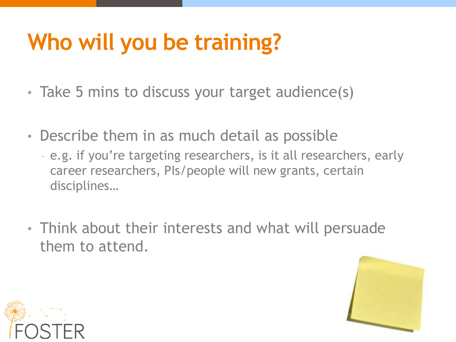# **Who will you be training?**

- Take 5 mins to discuss your target audience(s)
- Describe them in as much detail as possible
	- e.g. if you're targeting researchers, is it all researchers, early career researchers, PIs/people will new grants, certain disciplines…
- Think about their interests and what will persuade them to attend.



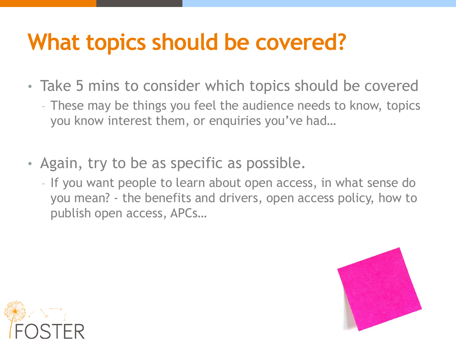# **What topics should be covered?**

- Take 5 mins to consider which topics should be covered
	- These may be things you feel the audience needs to know, topics you know interest them, or enquiries you've had…
- Again, try to be as specific as possible.
	- If you want people to learn about open access, in what sense do you mean? - the benefits and drivers, open access policy, how to publish open access, APCs…



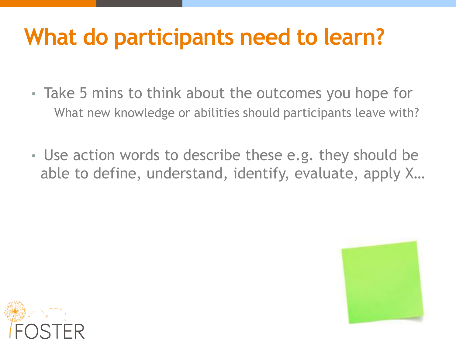# **What do participants need to learn?**

- Take 5 mins to think about the outcomes you hope for – What new knowledge or abilities should participants leave with?
- Use action words to describe these e.g. they should be able to define, understand, identify, evaluate, apply X…



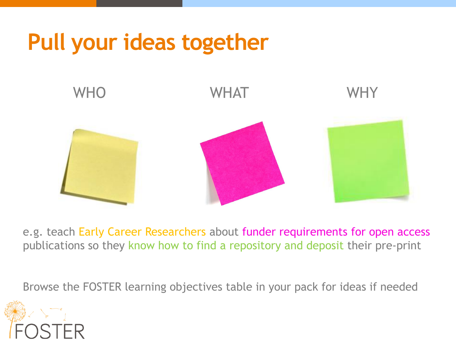## **Pull your ideas together**



e.g. teach Early Career Researchers about funder requirements for open access publications so they know how to find a repository and deposit their pre-print

Browse the FOSTER learning objectives table in your pack for ideas if needed

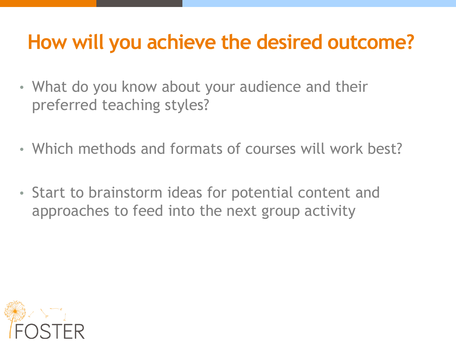#### **How will you achieve the desired outcome?**

- What do you know about your audience and their preferred teaching styles?
- Which methods and formats of courses will work best?
- Start to brainstorm ideas for potential content and approaches to feed into the next group activity